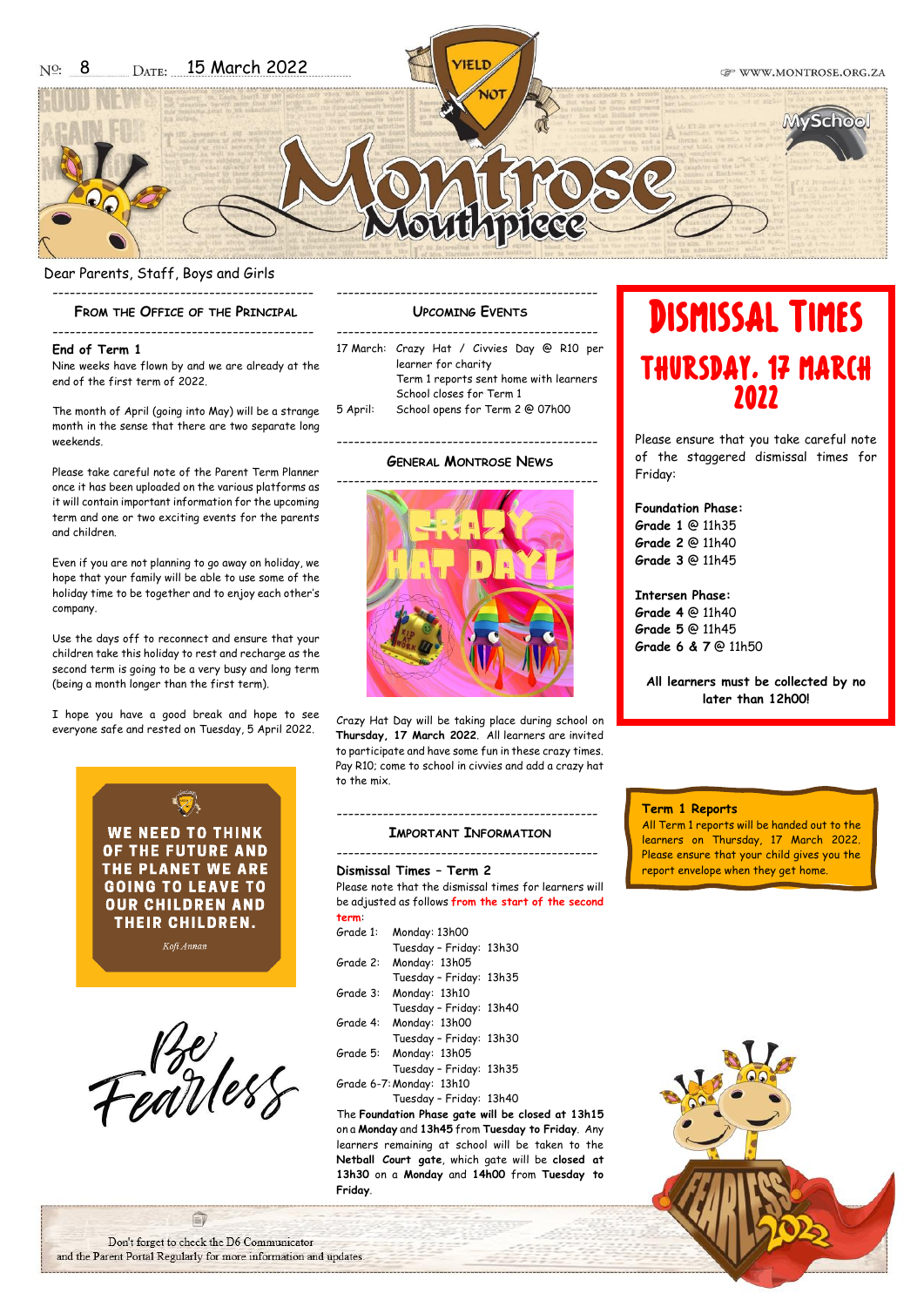

# Dear Parents, Staff, Boys and Girls ---------------------------------------------

# **FROM THE OFFICE OF THE PRINCIPAL** ---------------------------------------------

# **End of Term 1**

Nine weeks have flown by and we are already at the end of the first term of 2022.

The month of April (going into May) will be a strange month in the sense that there are two separate long weekends.

Please take careful note of the Parent Term Planner once it has been uploaded on the various platforms as it will contain important information for the upcoming term and one or two exciting events for the parents and children.

Even if you are not planning to go away on holiday, we hope that your family will be able to use some of the holiday time to be together and to enjoy each other's company.

Use the days off to reconnect and ensure that your children take this holiday to rest and recharge as the second term is going to be a very busy and long term (being a month longer than the first term).

I hope you have a good break and hope to see everyone safe and rested on Tuesday, 5 April 2022.





# --------------------------------------------- **UPCOMING EVENTS**

|          | 17 March: Crazy Hat / Civvies Day @ R10 per                                               |  |  |
|----------|-------------------------------------------------------------------------------------------|--|--|
|          | learner for charity<br>Term 1 reports sent home with learners<br>School closes for Term 1 |  |  |
|          |                                                                                           |  |  |
|          |                                                                                           |  |  |
| 5 April: | School opens for Term 2 @ 07h00                                                           |  |  |

# --------------------------------------------- **GENERAL MONTROSE NEWS**



Crazy Hat Day will be taking place during school on **Thursday, 17 March 2022**. All learners are invited to participate and have some fun in these crazy times. Pay R10; come to school in civvies and add a crazy hat to the mix.

# --------------------------------------------- **IMPORTANT INFORMATION** --------------------------------------------- **Dismissal Times – Term 2** Please note that the dismissal times for learners will be adjusted as follows **from the start of the second term**: Grade 1: Monday: 13h00 Tuesday – Friday: 13h30

| Grade 2: Monday: 13h05  |  |
|-------------------------|--|
| Tuesday - Friday: 13h35 |  |
| Grade 3: Monday: 13h10  |  |

- Tuesday Friday: 13h40 Grade 4: Monday: 13h00
- Tuesday Friday: 13h30 Grade 5: Monday: 13h05 Tuesday – Friday: 13h35
- Grade 6-7:Monday: 13h10 Tuesday – Friday: 13h40

The **Foundation Phase gate will be closed at 13h15** on a **Monday** and **13h45** from **Tuesday to Friday**. Any learners remaining at school will be taken to the **Netball Court gate**, which gate will be **closed at 13h30** on a **Monday** and **14h00** from **Tuesday to Friday**.

# DISMISSAL TIMES Thursday, 17 March 2022

Please ensure that you take careful note of the staggered dismissal times for Friday:

**Foundation Phase: Grade 1** @ 11h35 **Grade 2** @ 11h40

**Grade 3** @ 11h45

**Intersen Phase: Grade 4** @ 11h40 **Grade 5** @ 11h45 **Grade 6 & 7** @ 11h50

**All learners must be collected by no later than 12h00!**

# **Term 1 Reports**

All Term 1 reports will be handed out to the learners on Thursday, 17 March 2022. Please ensure that your child gives you the report envelope when they get home.



自